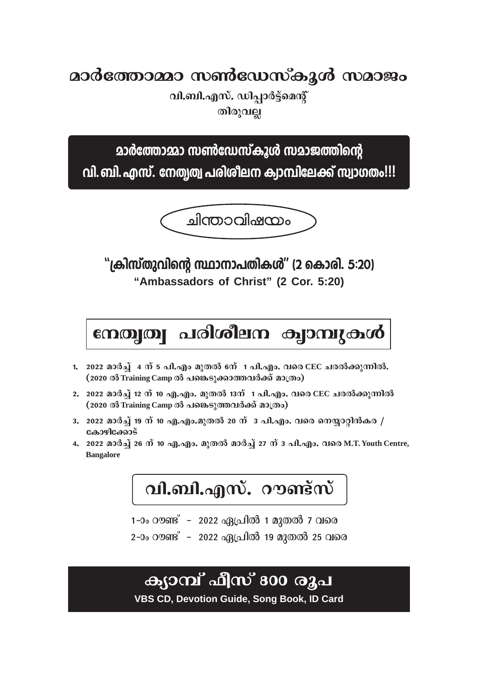**aാർത്തോമ്മാ സൺഡേസ്കൂൾ സമാജം** 

**ุณ.ิลบ์...........** ഡിപ്പാർട്ട്മെന്റ് തിരുവ<u>ല്ല</u>

**മാർത്തോമ്മാ സൺഡേസ്കൂൾ സമാജത്തിന്റെ** 

വി. ബി. എസ്. നേത്വത്വ പരിശീലന ക്വാമ്പിലേക്ക് സ്വാഗതം!!!



<u>"ക്രിസ്തുവിന്റെ സ്ഥാനാപതികൾ" (2 കൊരി. 5:20)</u> **"Ambassadors of Christ" (2 Cor. 5:20)**

mojo | പരിശീലന ക്വാമ്പുകൾ

- 1. 2022 മാർച്ച് 4 ന് 5 പി.എം മുതൽ 6ന്**1 പി.എം. വരെ CEC ചരൽക്കുന്നിൽ.** (2020 ൽ Training Camp ൽ പങ്കെടുക്കാത്തവർക്ക് മാത്രം)
- 2. 2022 മാർച്ച് 12 ന് 10 എ.എം. മുതൽ 13ന് 1 പി.എം. വരെ CEC ചരൽക്കുന്നിൽ (2020 ൽ Training Camp ൽ പങ്കെടുത്തവർക്ക് മാത്രം)
- 3. 2022 മാർച്ച് 19 ന് 10 എ.എം.മുതൽ 20 ന് 3 പി.എം. വരെ നെയ്യാറ്റിൻകര *|* **tImgn-t°mSv**
- 4. 2022 മാർച്ച് 26 ന് 10 എ.എം. മുതൽ മാർച്ച് 27 ന് 3 പി.എം. വരെ M.T. Youth Centre, **Bangalore**

**വി.ബി.എസ്.** റൗണ്ട്സ്

1-ാം റൗണ്ട് – 2022 ഏപ്രിൽ 1 മുതൽ 7 വരെ

2-ാം റൗണ്ട് - 2022 ഏപ്രിൽ 19 മുതൽ 25 വരെ

ക്യാമ്പ് **ഫീസ് 800 രൂ**പ

**VBS CD, Devotion Guide, Song Book, ID Card**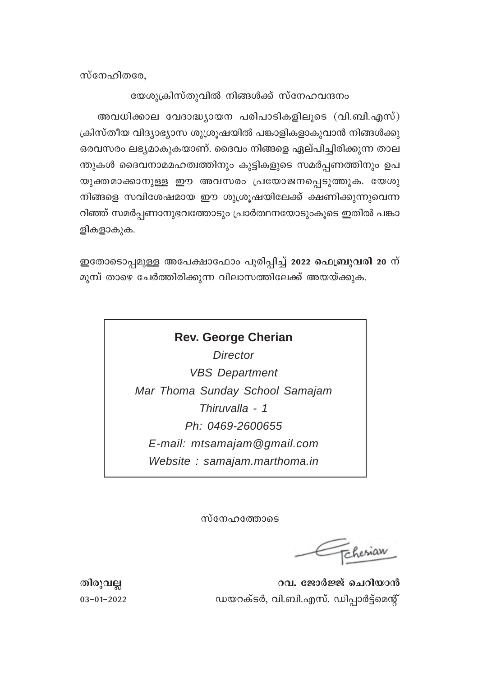$m$ സേഹിതരേ,

#### യേശുക്രിസ്തുവിൽ നിങ്ങൾക്ക് സ്നേഹവന്ദനം

അവധിക്കാല വേദാദ്ധ്യായന പരിപാടികളിലൂടെ (വി.ബി.എസ്)  ${1}$ ക്രിസ്തീയ വിദ്യാഭ്യാസ ശുശ്രൂഷയിൽ പങ്കാളികളാകുവാൻ നിങ്ങൾക്കു ഒരവസരം ലഭ്യമാകുകയാണ്. ദൈവം നിങ്ങളെ ഏല്പിച്ചിരിക്കുന്ന താല ന്തുകൾ ദൈവനാമമഹത്വത്തിനും കുട്ടികളുടെ സമർപ്പണത്തിനും ഉപ യുക്തമാക്കാനുള്ള ഈ അവസരം പ്രയോജനപ്പെടുത്തുക. യേശു നിങ്ങളെ സവിശേഷമായ ഈ ശുശ്രൂഷയിലേക്ക് ക്ഷണിക്കുന്നുവെന്ന റിഞ്ഞ് സമർപ്പണാനുഭവത്തോടും പ്രാർത്ഥനയോടുംകൂടെ ഇതിൽ പങ്കാ ളികളാകുക.

ഇതോടൊപ്പമുള്ള അപേക്ഷാഫോം പൂരിപ്പിച്ച് 2022 **ഫെബ്രുവരി 20** ന് മുമ്പ് താഴെ ചേർത്തിരിക്കുന്ന വിലാസത്തിലേക്ക് അയയ്ക്കുക.

## **Rev. George Cherian** *Director VBS Department Mar Thoma Sunday School Samajam Thiruvalla - 1 Ph: 0469-2600655 E-mail: mtsamajam@gmail.com Website : samajam.marthoma.in*

സ്നേഹത്തോടെ

Tchesiaw

**Xncp-h√ dh. tPm¿÷v sNdn-bm≥** 03˛01-˛2022 Ub-d-IvS¿, hn.-\_n.-F-kv. Un∏m¿´vsa' v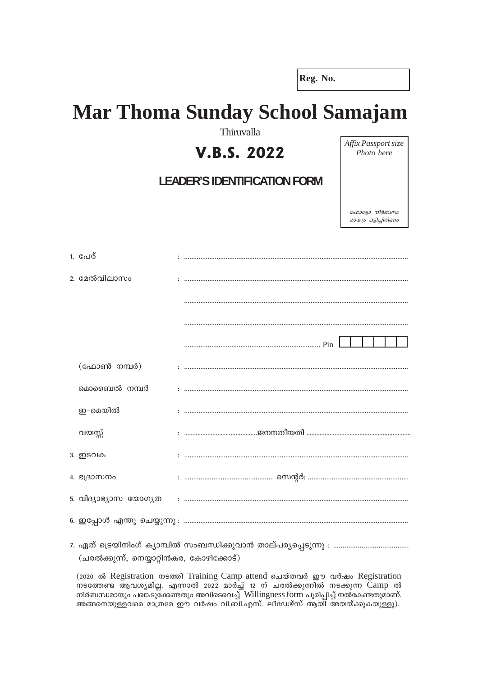Reg. No.

# **Mar Thoma Sunday School Samajam**

Thiruvalla

### **V.B.S. 2022**

#### **LEADER'S IDENTIFICATION FORM**

Affix Passport size Photo here

ഫോട്ടോ നിർബന്ധ മായും ഒട്ടിച്ചിരിണം

| 1. പേര്      |  |
|--------------|--|
| 2. മേൽവിലാസം |  |
|              |  |
|              |  |
|              |  |
| (ഫോൺ നമ്പർ)  |  |
| മൊബൈൽ നമ്പർ  |  |
| ഇ-മെയിൽ      |  |
| വയസ്സ്       |  |
| 3. ഇടവക      |  |
| 4. ഭദ്രാസനം  |  |
|              |  |
|              |  |
|              |  |

(ചരൽക്കുന്ന്, നെയ്യാറ്റിൻകര, കോഴിക്കോട്)

(2020 ൽ Registration mscool Training Camp attend வெയ്തവർ ഈ വർഷം Registration നടത്തേണ്ട ആവശ്യമില്ല. എന്നാൽ 2022 മാർച്ച് 12 ന് ചരൽക്കുന്നിൽ നടക്കുന്ന Camp ൽ നിർബന്ധമായും പങ്കെടു്ക്കേണ്ടതും അവിടെവെച്ച് Willingness form പൂരിപ്പിച്ച് നൽകേണ്ടതുമാണ്. അങ്ങനെയുള്ളവരെ മാത്രമേ ഈ വർഷം വി.ബി.എസ്. ലീഡേഴ്സ് ആയി അയയ്ക്കുകയുള്ളു).